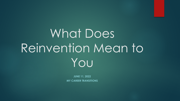# What Does Reinvention Mean to You

**JUNE 11, 2022 MY CAREER TRANSITIONS**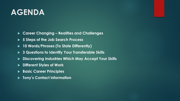#### **AGENDA**

- **Career Changing – Realities and Challenges**
- **5 Steps of the Job Search Process**
- **10 Words/Phrases (To State Differently)**
- **3 Questions to Identify Your Transferable Skills**
- **Discovering Industries Which May Accept Your Skills**
- **Different Styles of Work**
- **Basic Career Principles**
- **Tony's Contact Information**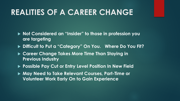#### **REALITIES OF A CAREER CHANGE**

- ▶ Not Considered an "Insider" to those in profession you **are targeting**
- **Difficult to Put a "Category" On You. Where Do You Fit?**
- ▶ Career Change Takes More Time Than Staying in **Previous Industry**
- ▶ Possible Pay Cut or Entry Level Position In New Field
- **May Need to Take Relevant Courses, Part-Time or Volunteer Work Early On to Gain Experience**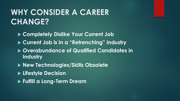### **WHY CONSIDER A CAREER CHANGE?**

- **Completely Dislike Your Current Job**
- **Current Job is in a "Retrenching" Industry**
- **Overabundance of Qualified Candidates in Industry**
- **New Technologies/Skills Obsolete**
- **Lifestyle Decision**
- **Fulfill a Long-Term Dream**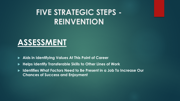#### **ASSESSMENT**

- **Aids in Identifying Values At This Point of Career**
- **Helps Identify Transferable Skills to Other Lines of Work**
- **Identifies What Factors Need to Be Present in a Job To Increase Our Chances of Success and Enjoyment**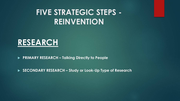

**PRIMARY RESEARCH – Talking Directly to People**

**SECONDARY RESEARCH – Study or Look-Up Type of Research**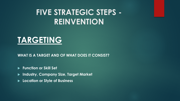#### **TARGETING**

**WHAT IS A TARGET AND OF WHAT DOES IT CONSIST?**

**Function or Skill Set**

- **Industry, Company Size, Target Market**
- **Location or Style of Business**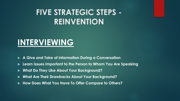#### **INTERVIEWING**

- **A Give and Take of Information During a Conversation**
- **Learn Issues Important to the Person to Whom You Are Speaking**
- **What Do They Like About Your Background?**
- **What Are Their Drawbacks About Your Background?**
- **How Does What You Have To Offer Compare to Others?**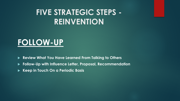#### **FOLLOW-UP**

- **Review What You Have Learned From Talking to Others**
- **Follow-Up with Influence Letter, Proposal, Recommendation**
- **Keep in Touch On a Periodic Basis**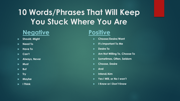### **10 Words/Phrases That Will Keep You Stuck Where You Are**

#### **Negative**

- **Should, Might**
- **Need To**
- **Have To**
- **Can't**
- **Always, Never**
- **Must**
- **But**
- **F** Try
- **Maybe**
- **I Think**

#### **Positive**

- **Choose/Desire/Want**
- **It's Important To Me**
- **Desire To**
- **Am Not Willing To, Choose To**
- **Sometimes, Often, Seldom**
- **Choose, Desire**
- **And**
- **Intend/Aim**
- **Yes I Will, or No I won't**
- **I Know or I Don't Know**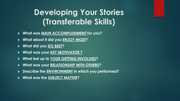#### **Developing Your Stories (Transferable Skills)**

- **What was MAIN ACCOMPLISHMENT for you?**
- **What about it did you ENJOY MOST?**
- **What did you DO BEST?**
- **What was your KEY MOTIVATOR ?**
- **What led up to YOUR GETTING INVOLVED?**
- **What was your RELATIONSHIP WITH OTHERS?**
- **Describe the ENVIRONMENT in which you performed?**
- **What was the SUBJECT MATTER?**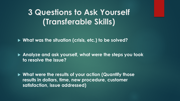#### **3 Questions to Ask Yourself (Transferable Skills)**

**What was the situation (crisis, etc.) to be solved?**

 **Analyze and ask yourself, what were the steps you took to resolve the issue?**

 **What were the results of your action (Quantify those results in dollars, time, new procedure, customer satisfaction, issue addressed)**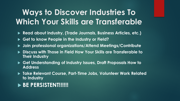### **Ways to Discover Industries To Which Your Skills are Transferable**

- **Read about industry, (Trade Journals, Business Articles, etc.)**
- **Get to know People in the Industry or Field?**
- **Join professional organizations/Attend Meetings/Contribute**
- **Discuss with Those in Field How Your Skills are Transferable to Their Industry**
- **Get Understanding of Industry Issues, Draft Proposals How to Address**
- **Take Relevant Course, Part-Time Jobs, Volunteer Work Related to Industry**

#### **BE PERSISTENT!!!!!!!**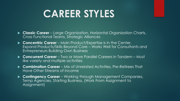### **CAREER STYLES**

- **Classic Career**  Large Organization, Horizontal Organization Charts, Cross Functional Teams, Strategic Alliances
- **Concentric Career**  Main Product/Expertise is in the Center. Expand Products/Skills Beyond Core – Works Well for Consultants and Entrepreneurs Building Own Business
- **Concurrent Career** Two or More Parallel Careers in Tandem Must like variety and multiple activities
- **Combination Career**  Mix of Unrelated Activities, Pre-Retirees That Have Other Streams of Income
- **Contingency Career** Working through Management Companies, Temp Agencies, Starting Business, (Work From Assignment to Assignment)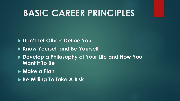### **BASIC CAREER PRINCIPLES**

#### **Don't Let Others Define You**

- **Know Yourself and Be Yourself**
- **Develop a Philosophy of Your Life and How You Want it To Be**
- **Make a Plan**
- **Be Willing To Take A Risk**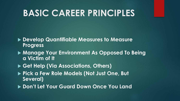### **BASIC CAREER PRINCIPLES**

- **Develop Quantifiable Measures to Measure Progress**
- **Manage Your Environment As Opposed To Being a Victim of It**
- **Get Help (Via Associations, Others)**
- **Pick a Few Role Models (Not Just One, But Several)**
- **Don't Let Your Guard Down Once You Land**